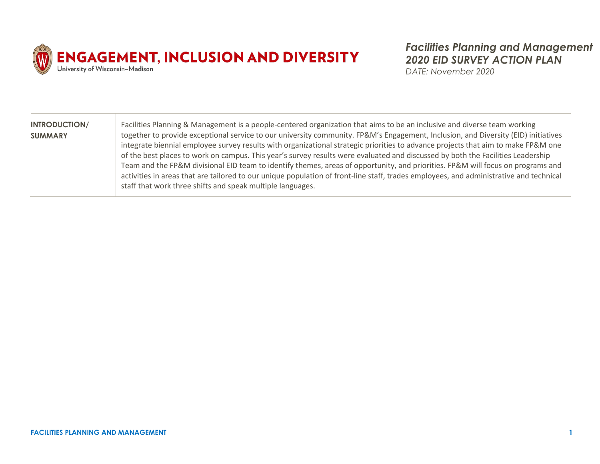

*Facilities Planning and Management 2020 EID SURVEY ACTION PLAN*

*DATE: November 2020*

| <b>INTRODUCTION/</b> | Facilities Planning & Management is a people-centered organization that aims to be an inclusive and diverse team working               |
|----------------------|----------------------------------------------------------------------------------------------------------------------------------------|
| <b>SUMMARY</b>       | together to provide exceptional service to our university community. FP&M's Engagement, Inclusion, and Diversity (EID) initiatives     |
|                      | integrate biennial employee survey results with organizational strategic priorities to advance projects that aim to make FP&M one      |
|                      | of the best places to work on campus. This year's survey results were evaluated and discussed by both the Facilities Leadership        |
|                      | Team and the FP&M divisional EID team to identify themes, areas of opportunity, and priorities. FP&M will focus on programs and        |
|                      | activities in areas that are tailored to our unique population of front-line staff, trades employees, and administrative and technical |
|                      | staff that work three shifts and speak multiple languages.                                                                             |
|                      |                                                                                                                                        |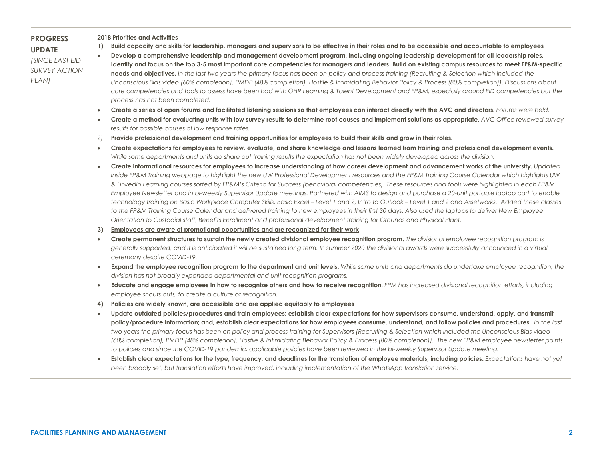| <b>2018 Priorities and Activities</b><br>Build capacity and skills for leadership, managers and supervisors to be effective in their roles and to be accessible and accountable to employees<br>$\overline{1}$<br>Develop a comprehensive leadership and management development program, including ongoing leadership development for all leadership roles.<br>$\bullet$ |                                                                                                                                                                                                                                                                                                                                                                                                                                                                                                                                                                                                                                                                                                                                                                                                                                                                                                                                                                                                                                                                                                                                                                                                                                                                                                                                                                                                                                                                                                                                                                        |  |  |
|--------------------------------------------------------------------------------------------------------------------------------------------------------------------------------------------------------------------------------------------------------------------------------------------------------------------------------------------------------------------------|------------------------------------------------------------------------------------------------------------------------------------------------------------------------------------------------------------------------------------------------------------------------------------------------------------------------------------------------------------------------------------------------------------------------------------------------------------------------------------------------------------------------------------------------------------------------------------------------------------------------------------------------------------------------------------------------------------------------------------------------------------------------------------------------------------------------------------------------------------------------------------------------------------------------------------------------------------------------------------------------------------------------------------------------------------------------------------------------------------------------------------------------------------------------------------------------------------------------------------------------------------------------------------------------------------------------------------------------------------------------------------------------------------------------------------------------------------------------------------------------------------------------------------------------------------------------|--|--|
|                                                                                                                                                                                                                                                                                                                                                                          | Identify and focus on the top 3-5 most important core competencies for managers and leaders. Build on existing campus resources to meet FP&M-specific<br>Unconscious Bias video (60% completion), PMDP (48% completion), Hostile & Intimidating Behavior Policy & Process (80% completion)). Discussions about                                                                                                                                                                                                                                                                                                                                                                                                                                                                                                                                                                                                                                                                                                                                                                                                                                                                                                                                                                                                                                                                                                                                                                                                                                                         |  |  |
| process has not been completed.                                                                                                                                                                                                                                                                                                                                          |                                                                                                                                                                                                                                                                                                                                                                                                                                                                                                                                                                                                                                                                                                                                                                                                                                                                                                                                                                                                                                                                                                                                                                                                                                                                                                                                                                                                                                                                                                                                                                        |  |  |
|                                                                                                                                                                                                                                                                                                                                                                          | Create a series of open forums and facilitated listening sessions so that employees can interact directly with the AVC and directors. Forums were held.                                                                                                                                                                                                                                                                                                                                                                                                                                                                                                                                                                                                                                                                                                                                                                                                                                                                                                                                                                                                                                                                                                                                                                                                                                                                                                                                                                                                                |  |  |
| results for possible causes of low response rates.                                                                                                                                                                                                                                                                                                                       | Create a method for evaluating units with low survey results to determine root causes and implement solutions as appropriate. AVC Office reviewed survey                                                                                                                                                                                                                                                                                                                                                                                                                                                                                                                                                                                                                                                                                                                                                                                                                                                                                                                                                                                                                                                                                                                                                                                                                                                                                                                                                                                                               |  |  |
|                                                                                                                                                                                                                                                                                                                                                                          |                                                                                                                                                                                                                                                                                                                                                                                                                                                                                                                                                                                                                                                                                                                                                                                                                                                                                                                                                                                                                                                                                                                                                                                                                                                                                                                                                                                                                                                                                                                                                                        |  |  |
|                                                                                                                                                                                                                                                                                                                                                                          | Create expectations for employees to review, evaluate, and share knowledge and lessons learned from training and professional development events.                                                                                                                                                                                                                                                                                                                                                                                                                                                                                                                                                                                                                                                                                                                                                                                                                                                                                                                                                                                                                                                                                                                                                                                                                                                                                                                                                                                                                      |  |  |
| ceremony despite COVID-19.                                                                                                                                                                                                                                                                                                                                               | Create informational resources for employees to increase understanding of how career development and advancement works at the university. Updated<br>Inside FP&M Training webpage to highlight the new UW Professional Development resources and the FP&M Training Course Calendar which highlights UW<br>& LinkedIn Learning courses sorted by FP&M's Criteria for Success (behavioral competencies). These resources and tools were highlighted in each FP&M<br>Employee Newsletter and in bi-weekly Supervisor Update meetings. Partnered with AIMS to design and purchase a 20-unit portable laptop cart to enable<br>technology training on Basic Workplace Computer Skills, Basic Excel - Level 1 and 2, Intro to Outlook - Level 1 and 2 and Assetworks. Added these classes<br>to the FP&M Training Course Calendar and delivered training to new employees in their first 30 days. Also used the laptops to deliver New Employee<br>Create permanent structures to sustain the newly created divisional employee recognition program. The divisional employee recognition program is<br>generally supported, and it is anticipated it will be sustained long term. In summer 2020 the divisional awards were successfully announced in a virtual<br>Expand the employee recognition program to the department and unit levels. While some units and departments do undertake employee recognition, the<br>Educate and engage employees in how to recognize others and how to receive recognition. FPM has increased divisional recognition efforts, including |  |  |
|                                                                                                                                                                                                                                                                                                                                                                          |                                                                                                                                                                                                                                                                                                                                                                                                                                                                                                                                                                                                                                                                                                                                                                                                                                                                                                                                                                                                                                                                                                                                                                                                                                                                                                                                                                                                                                                                                                                                                                        |  |  |
|                                                                                                                                                                                                                                                                                                                                                                          | Update outdated policies/procedures and train employees; establish clear expectations for how supervisors consume, understand, apply, and transmit<br>policy/procedure information; and, establish clear expectations for how employees consume, understand, and follow policies and procedures. In the last<br>two years the primary focus has been on policy and process training for Supervisors (Recruiting & Selection which included the Unconscious Bias video<br>(60% completion), PMDP (48% completion), Hostile & Intimidating Behavior Policy & Process (80% completion)). The new FP&M employee newsletter points<br>Establish clear expectations for the type, frequency, and deadlines for the translation of employee materials, including policies. Expectations have not yet                                                                                                                                                                                                                                                                                                                                                                                                                                                                                                                                                                                                                                                                                                                                                                          |  |  |
| $\bullet$<br>$\bullet$<br>2)<br>$\bullet$<br>$\bullet$<br>3)<br>$\bullet$<br>$\bullet$<br>$\bullet$<br>$\bullet$                                                                                                                                                                                                                                                         | needs and objectives. In the last two years the primary focus has been on policy and process training (Recruiting & Selection which included the<br>core competencies and tools to assess have been had with OHR Learning & Talent Development and FP&M, especially around EID competencies but the<br>Provide professional development and training opportunities for employees to build their skills and grow in their roles.<br>While some departments and units do share out training results the expectation has not been widely developed across the division.<br>Orientation to Custodial staff, Benefits Enrollment and professional development training for Grounds and Physical Plant.<br>Employees are aware of promotional opportunities and are recognized for their work<br>division has not broadly expanded departmental and unit recognition programs.<br>employee shouts outs, to create a culture of recognition.<br>4) Policies are widely known, are accessible and are applied equitably to employees<br>to policies and since the COVID-19 pandemic, applicable policies have been reviewed in the bi-weekly Supervisor Update meeting.<br>been broadly set, but translation efforts have improved, including implementation of the WhatsApp translation service.                                                                                                                                                                                                                                                                              |  |  |

 $\sim$